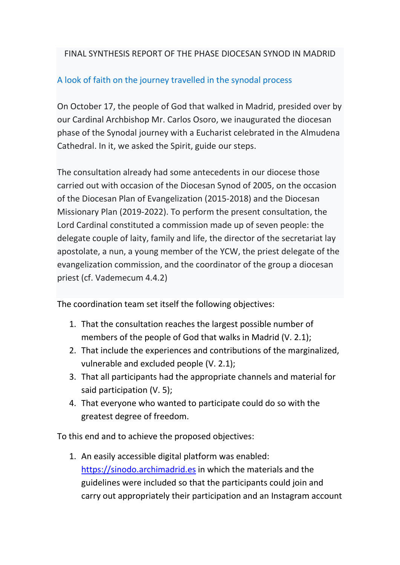## FINAL SYNTHESIS REPORT OF THE PHASE DIOCESAN SYNOD IN MADRID

## A look of faith on the journey travelled in the synodal process

On October 17, the people of God that walked in Madrid, presided over by our Cardinal Archbishop Mr. Carlos Osoro, we inaugurated the diocesan phase of the Synodal journey with a Eucharist celebrated in the Almudena Cathedral. In it, we asked the Spirit, guide our steps.

The consultation already had some antecedents in our diocese those carried out with occasion of the Diocesan Synod of 2005, on the occasion of the Diocesan Plan of Evangelization (2015-2018) and the Diocesan Missionary Plan (2019-2022). To perform the present consultation, the Lord Cardinal constituted a commission made up of seven people: the delegate couple of laity, family and life, the director of the secretariat lay apostolate, a nun, a young member of the YCW, the priest delegate of the evangelization commission, and the coordinator of the group a diocesan priest (cf. Vademecum 4.4.2)

The coordination team set itself the following objectives:

- 1. That the consultation reaches the largest possible number of members of the people of God that walks in Madrid (V. 2.1);
- 2. That include the experiences and contributions of the marginalized, vulnerable and excluded people (V. 2.1);
- 3. That all participants had the appropriate channels and material for said participation (V. 5);
- 4. That everyone who wanted to participate could do so with the greatest degree of freedom.

To this end and to achieve the proposed objectives:

1. An easily accessible digital platform was enabled: https://sinodo.archimadrid.es in which the materials and the guidelines were included so that the participants could join and carry out appropriately their participation and an Instagram account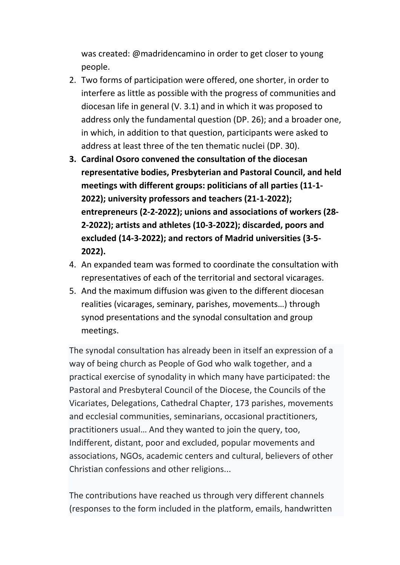was created: @madridencamino in order to get closer to young people.

- 2. Two forms of participation were offered, one shorter, in order to interfere as little as possible with the progress of communities and diocesan life in general (V. 3.1) and in which it was proposed to address only the fundamental question (DP. 26); and a broader one, in which, in addition to that question, participants were asked to address at least three of the ten thematic nuclei (DP. 30).
- 3. Cardinal Osoro convened the consultation of the diocesan representative bodies, Presbyterian and Pastoral Council, and held meetings with different groups: politicians of all parties (11-1- 2022); university professors and teachers (21-1-2022); entrepreneurs (2-2-2022); unions and associations of workers (28- 2-2022); artists and athletes (10-3-2022); discarded, poors and excluded (14-3-2022); and rectors of Madrid universities (3-5- 2022).
- 4. An expanded team was formed to coordinate the consultation with representatives of each of the territorial and sectoral vicarages.
- 5. And the maximum diffusion was given to the different diocesan realities (vicarages, seminary, parishes, movements…) through synod presentations and the synodal consultation and group meetings.

The synodal consultation has already been in itself an expression of a way of being church as People of God who walk together, and a practical exercise of synodality in which many have participated: the Pastoral and Presbyteral Council of the Diocese, the Councils of the Vicariates, Delegations, Cathedral Chapter, 173 parishes, movements and ecclesial communities, seminarians, occasional practitioners, practitioners usual… And they wanted to join the query, too, Indifferent, distant, poor and excluded, popular movements and associations, NGOs, academic centers and cultural, believers of other Christian confessions and other religions...

The contributions have reached us through very different channels (responses to the form included in the platform, emails, handwritten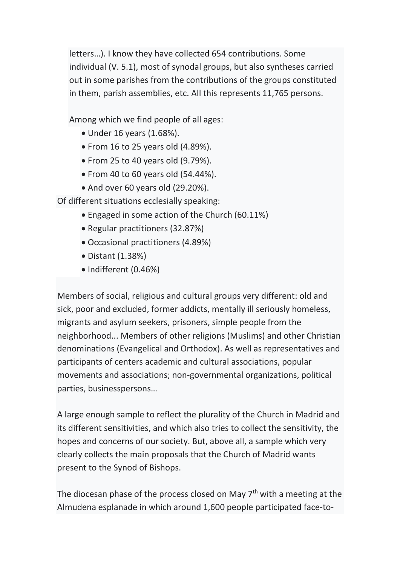letters…). I know they have collected 654 contributions. Some individual (V. 5.1), most of synodal groups, but also syntheses carried out in some parishes from the contributions of the groups constituted in them, parish assemblies, etc. All this represents 11,765 persons.

Among which we find people of all ages:

- Under 16 years (1.68%).
- $\bullet$  From 16 to 25 years old (4.89%).
- $\bullet$  From 25 to 40 years old (9.79%).
- $\bullet$  From 40 to 60 years old (54.44%).
- And over 60 years old (29.20%).

Of different situations ecclesially speaking:

- Engaged in some action of the Church (60.11%)
- Regular practitioners (32.87%)
- Occasional practitioners (4.89%)
- Distant (1.38%)
- Indifferent (0.46%)

Members of social, religious and cultural groups very different: old and sick, poor and excluded, former addicts, mentally ill seriously homeless, migrants and asylum seekers, prisoners, simple people from the neighborhood... Members of other religions (Muslims) and other Christian denominations (Evangelical and Orthodox). As well as representatives and participants of centers academic and cultural associations, popular movements and associations; non-governmental organizations, political parties, businesspersons…

A large enough sample to reflect the plurality of the Church in Madrid and its different sensitivities, and which also tries to collect the sensitivity, the hopes and concerns of our society. But, above all, a sample which very clearly collects the main proposals that the Church of Madrid wants present to the Synod of Bishops.

The diocesan phase of the process closed on May  $7<sup>th</sup>$  with a meeting at the Almudena esplanade in which around 1,600 people participated face-to-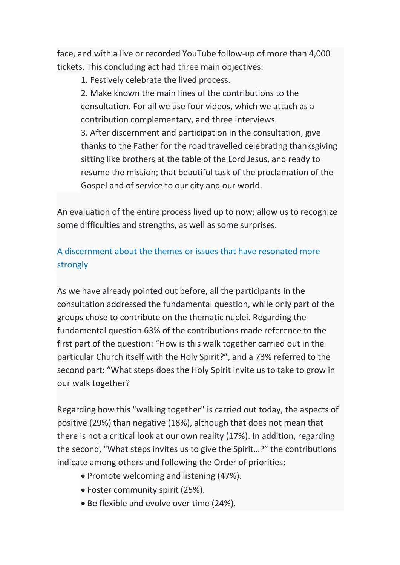face, and with a live or recorded YouTube follow-up of more than 4,000 tickets. This concluding act had three main objectives:

1. Festively celebrate the lived process.

2. Make known the main lines of the contributions to the consultation. For all we use four videos, which we attach as a contribution complementary, and three interviews.

3. After discernment and participation in the consultation, give thanks to the Father for the road travelled celebrating thanksgiving sitting like brothers at the table of the Lord Jesus, and ready to resume the mission; that beautiful task of the proclamation of the Gospel and of service to our city and our world.

An evaluation of the entire process lived up to now; allow us to recognize some difficulties and strengths, as well as some surprises.

## A discernment about the themes or issues that have resonated more strongly

As we have already pointed out before, all the participants in the consultation addressed the fundamental question, while only part of the groups chose to contribute on the thematic nuclei. Regarding the fundamental question 63% of the contributions made reference to the first part of the question: "How is this walk together carried out in the particular Church itself with the Holy Spirit?", and a 73% referred to the second part: "What steps does the Holy Spirit invite us to take to grow in our walk together?

Regarding how this "walking together" is carried out today, the aspects of positive (29%) than negative (18%), although that does not mean that there is not a critical look at our own reality (17%). In addition, regarding the second, "What steps invites us to give the Spirit…?" the contributions indicate among others and following the Order of priorities:

- Promote welcoming and listening (47%).
- Foster community spirit (25%).
- Be flexible and evolve over time (24%).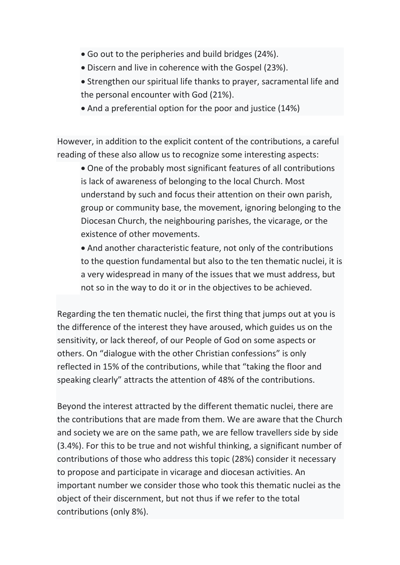- Go out to the peripheries and build bridges (24%).
- Discern and live in coherence with the Gospel (23%).
- Strengthen our spiritual life thanks to prayer, sacramental life and the personal encounter with God (21%).
- And a preferential option for the poor and justice (14%)

However, in addition to the explicit content of the contributions, a careful reading of these also allow us to recognize some interesting aspects:

 One of the probably most significant features of all contributions is lack of awareness of belonging to the local Church. Most understand by such and focus their attention on their own parish, group or community base, the movement, ignoring belonging to the Diocesan Church, the neighbouring parishes, the vicarage, or the existence of other movements.

 And another characteristic feature, not only of the contributions to the question fundamental but also to the ten thematic nuclei, it is a very widespread in many of the issues that we must address, but not so in the way to do it or in the objectives to be achieved.

Regarding the ten thematic nuclei, the first thing that jumps out at you is the difference of the interest they have aroused, which guides us on the sensitivity, or lack thereof, of our People of God on some aspects or others. On "dialogue with the other Christian confessions" is only reflected in 15% of the contributions, while that "taking the floor and speaking clearly" attracts the attention of 48% of the contributions.

Beyond the interest attracted by the different thematic nuclei, there are the contributions that are made from them. We are aware that the Church and society we are on the same path, we are fellow travellers side by side (3.4%). For this to be true and not wishful thinking, a significant number of contributions of those who address this topic (28%) consider it necessary to propose and participate in vicarage and diocesan activities. An important number we consider those who took this thematic nuclei as the object of their discernment, but not thus if we refer to the total contributions (only 8%).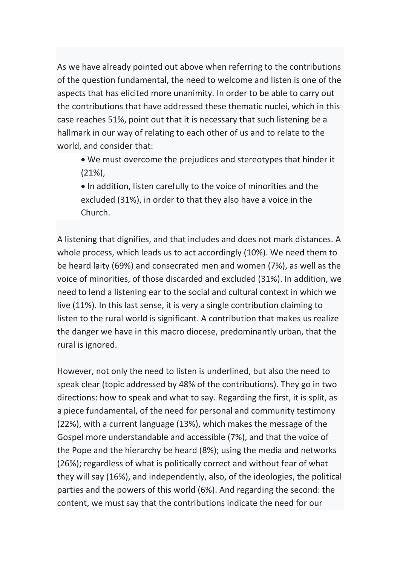As we have already pointed out above when referring to the contributions of the question fundamental, the need to welcome and listen is one of the aspects that has elicited more unanimity. In order to be able to carry out the contributions that have addressed these thematic nuclei, which in this case reaches 51%, point out that it is necessary that such listening be a hallmark in our way of relating to each other of us and to relate to the world, and consider that:

 We must overcome the prejudices and stereotypes that hinder it (21%),

 $\bullet$  In addition, listen carefully to the voice of minorities and the excluded (31%), in order to that they also have a voice in the Church.

A listening that dignifies, and that includes and does not mark distances. A whole process, which leads us to act accordingly (10%). We need them to be heard laity (69%) and consecrated men and women (7%), as well as the voice of minorities, of those discarded and excluded (31%). In addition, we need to lend a listening ear to the social and cultural context in which we live (11%). In this last sense, it is very a single contribution claiming to listen to the rural world is significant. A contribution that makes us realize the danger we have in this macro diocese, predominantly urban, that the rural is ignored.

However, not only the need to listen is underlined, but also the need to speak clear (topic addressed by 48% of the contributions). They go in two directions: how to speak and what to say. Regarding the first, it is split, as a piece fundamental, of the need for personal and community testimony (22%), with a current language (13%), which makes the message of the Gospel more understandable and accessible (7%), and that the voice of the Pope and the hierarchy be heard (8%); using the media and networks (26%); regardless of what is politically correct and without fear of what they will say (16%), and independently, also, of the ideologies, the political parties and the powers of this world (6%). And regarding the second: the content, we must say that the contributions indicate the need for our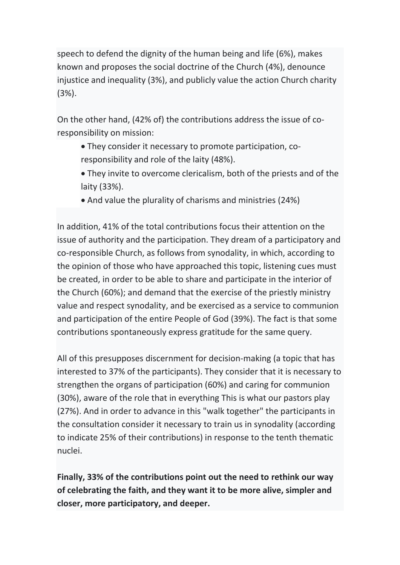speech to defend the dignity of the human being and life (6%), makes known and proposes the social doctrine of the Church (4%), denounce injustice and inequality (3%), and publicly value the action Church charity (3%).

On the other hand, (42% of) the contributions address the issue of coresponsibility on mission:

- They consider it necessary to promote participation, coresponsibility and role of the laity (48%).
- They invite to overcome clericalism, both of the priests and of the laity (33%).
- And value the plurality of charisms and ministries (24%)

In addition, 41% of the total contributions focus their attention on the issue of authority and the participation. They dream of a participatory and co-responsible Church, as follows from synodality, in which, according to the opinion of those who have approached this topic, listening cues must be created, in order to be able to share and participate in the interior of the Church (60%); and demand that the exercise of the priestly ministry value and respect synodality, and be exercised as a service to communion and participation of the entire People of God (39%). The fact is that some contributions spontaneously express gratitude for the same query.

All of this presupposes discernment for decision-making (a topic that has interested to 37% of the participants). They consider that it is necessary to strengthen the organs of participation (60%) and caring for communion (30%), aware of the role that in everything This is what our pastors play (27%). And in order to advance in this "walk together" the participants in the consultation consider it necessary to train us in synodality (according to indicate 25% of their contributions) in response to the tenth thematic nuclei.

Finally, 33% of the contributions point out the need to rethink our way of celebrating the faith, and they want it to be more alive, simpler and closer, more participatory, and deeper.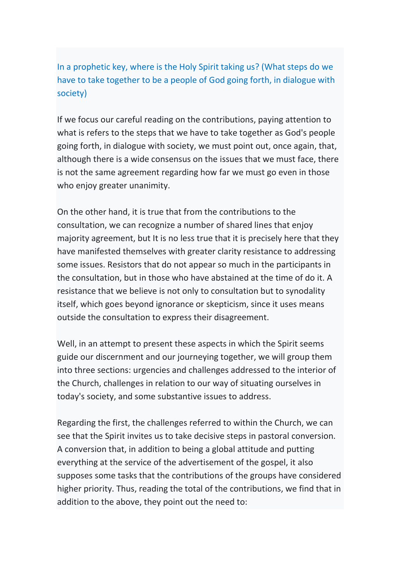In a prophetic key, where is the Holy Spirit taking us? (What steps do we have to take together to be a people of God going forth, in dialogue with society)

If we focus our careful reading on the contributions, paying attention to what is refers to the steps that we have to take together as God's people going forth, in dialogue with society, we must point out, once again, that, although there is a wide consensus on the issues that we must face, there is not the same agreement regarding how far we must go even in those who enjoy greater unanimity.

On the other hand, it is true that from the contributions to the consultation, we can recognize a number of shared lines that enjoy majority agreement, but It is no less true that it is precisely here that they have manifested themselves with greater clarity resistance to addressing some issues. Resistors that do not appear so much in the participants in the consultation, but in those who have abstained at the time of do it. A resistance that we believe is not only to consultation but to synodality itself, which goes beyond ignorance or skepticism, since it uses means outside the consultation to express their disagreement.

Well, in an attempt to present these aspects in which the Spirit seems guide our discernment and our journeying together, we will group them into three sections: urgencies and challenges addressed to the interior of the Church, challenges in relation to our way of situating ourselves in today's society, and some substantive issues to address.

Regarding the first, the challenges referred to within the Church, we can see that the Spirit invites us to take decisive steps in pastoral conversion. A conversion that, in addition to being a global attitude and putting everything at the service of the advertisement of the gospel, it also supposes some tasks that the contributions of the groups have considered higher priority. Thus, reading the total of the contributions, we find that in addition to the above, they point out the need to: